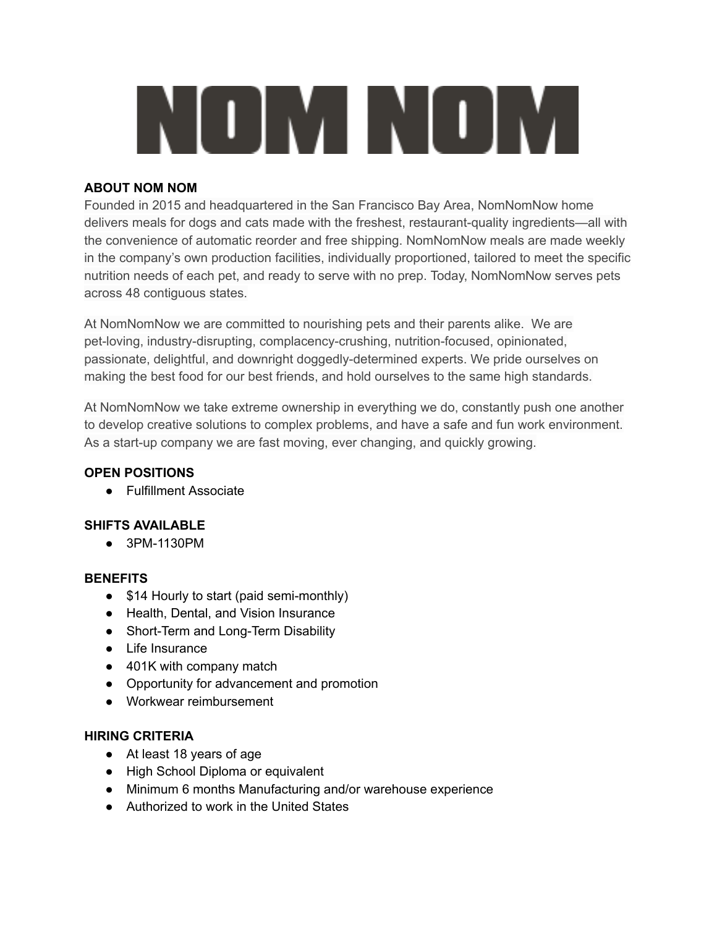# NOMNOM

#### **ABOUT NOM NOM**

Founded in 2015 and headquartered in the San Francisco Bay Area, NomNomNow home delivers meals for dogs and cats made with the freshest, restaurant-quality ingredients—all with the convenience of automatic reorder and free shipping. NomNomNow meals are made weekly in the company's own production facilities, individually proportioned, tailored to meet the specific nutrition needs of each pet, and ready to serve with no prep. Today, NomNomNow serves pets across 48 contiguous states.

At NomNomNow we are committed to nourishing pets and their parents alike. We are pet-loving, industry-disrupting, complacency-crushing, nutrition-focused, opinionated, passionate, delightful, and downright doggedly-determined experts. We pride ourselves on making the best food for our best friends, and hold ourselves to the same high standards.

At NomNomNow we take extreme ownership in everything we do, constantly push one another to develop creative solutions to complex problems, and have a safe and fun work environment. As a start-up company we are fast moving, ever changing, and quickly growing.

#### **OPEN POSITIONS**

● Fulfillment Associate

## **SHIFTS AVAILABLE**

● 3PM-1130PM

#### **BENEFITS**

- \$14 Hourly to start (paid semi-monthly)
- Health, Dental, and Vision Insurance
- Short-Term and Long-Term Disability
- Life Insurance
- 401K with company match
- Opportunity for advancement and promotion
- Workwear reimbursement

#### **HIRING CRITERIA**

- At least 18 years of age
- High School Diploma or equivalent
- Minimum 6 months Manufacturing and/or warehouse experience
- Authorized to work in the United States